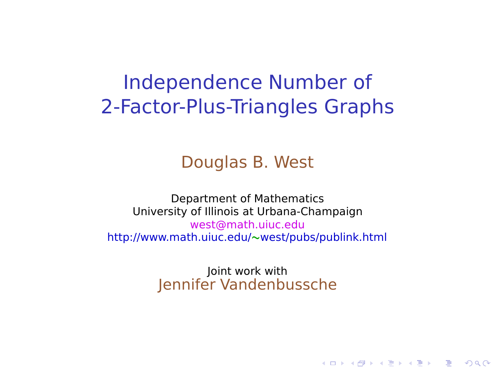#### Independence Number of 2-Factor-Plus-Triangles Graphs

#### Douglas B. West

<span id="page-0-0"></span>Department of Mathematics University of Illinois at Urbana-Champaign west@math.uiuc.edu http://www.math.uiuc.edu/**∼**west/pubs/publink.html

> Joint work with Jennifer Vandenbussche

> > **KORK ERKERK EI VAN**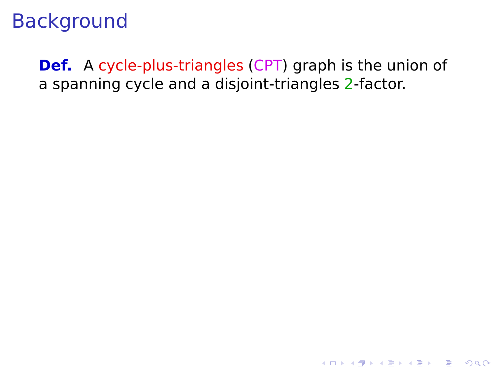**Def.** A cycle-plus-triangles (CPT) graph is the union of a spanning cycle and a disjoint-triangles 2-factor.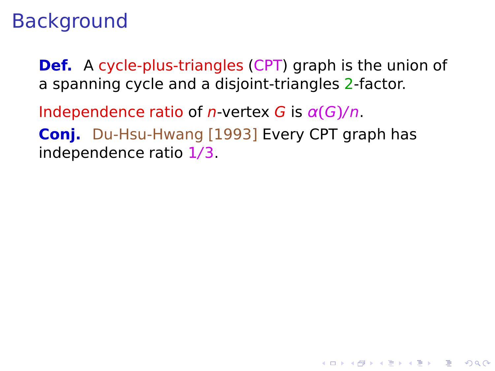**Def.** A cycle-plus-triangles (CPT) graph is the union of a spanning cycle and a disjoint-triangles 2-factor.

**KORK ERKERK EI VAN** 

Independence ratio of  $n$ -vertex G is  $\alpha(G)/n$ . **Conj.** Du-Hsu-Hwang [1993] Every CPT graph has independence ratio 1/3.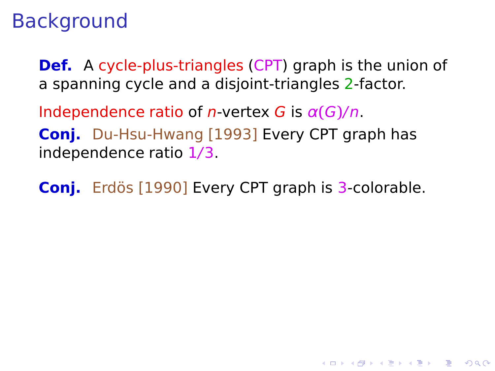**Def.** A cycle-plus-triangles (CPT) graph is the union of a spanning cycle and a disjoint-triangles 2-factor.

Independence ratio of  $n$ -vertex G is  $\alpha(G)/n$ . **Conj.** Du-Hsu-Hwang [1993] Every CPT graph has independence ratio 1/3.

**Conj.** Erdös [1990] Every CPT graph is 3-colorable.

**KORK ERKERK EI VAN**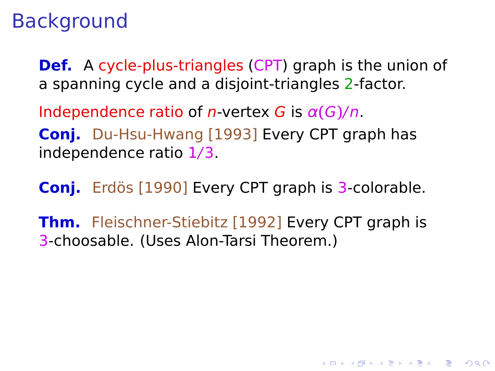**Def.** A cycle-plus-triangles (CPT) graph is the union of a spanning cycle and a disjoint-triangles 2-factor.

Independence ratio of  $n$ -vertex G is  $\alpha(G)/n$ . **Conj.** Du-Hsu-Hwang [1993] Every CPT graph has independence ratio 1/3.

**Conj.** Erdös [1990] Every CPT graph is 3-colorable.

**Thm.** Fleischner-Stiebitz [1992] Every CPT graph is 3-choosable. (Uses Alon-Tarsi Theorem.)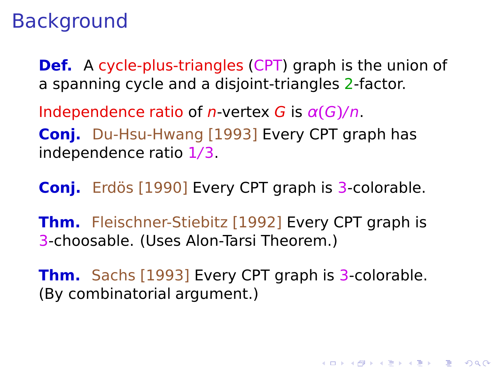**Def.** A cycle-plus-triangles (CPT) graph is the union of a spanning cycle and a disjoint-triangles 2-factor.

Independence ratio of  $n$ -vertex G is  $\alpha(G)/n$ . **Conj.** Du-Hsu-Hwang [1993] Every CPT graph has independence ratio 1/3.

**Conj.** Erdös [1990] Every CPT graph is 3-colorable.

**Thm.** Fleischner-Stiebitz [1992] Every CPT graph is 3-choosable. (Uses Alon-Tarsi Theorem.)

**Thm.** Sachs [1993] Every CPT graph is 3-colorable. (By combinatorial argument.)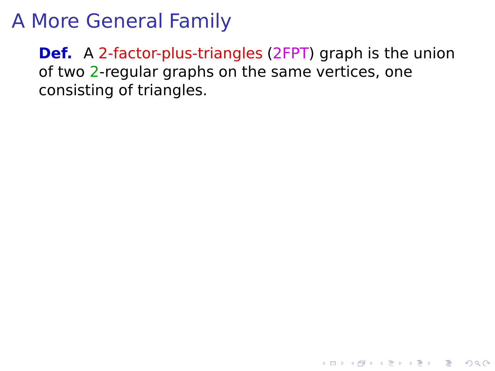**Def.** A 2-factor-plus-triangles (2FPT) graph is the union of two 2-regular graphs on the same vertices, one consisting of triangles.

K ロ ▶ K @ ▶ K 할 ▶ K 할 ▶ 이 할 → 9 Q Q\*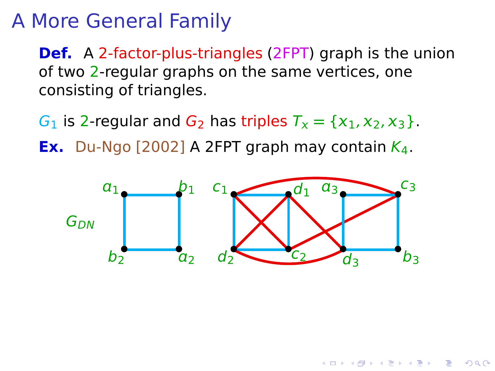**Def.** A 2-factor-plus-triangles (2FPT) graph is the union of two 2-regular graphs on the same vertices, one consisting of triangles.

 $G_1$  is 2-regular and  $G_2$  has triples  $T_x = \{x_1, x_2, x_3\}$ .

**Ex.** Du-Ngo  $[2002]$  A 2FPT graph may contain  $K_4$ .



 $\mathbf{1} \oplus \mathbf{1} \oplus \mathbf{1} \oplus \mathbf{1} \oplus \mathbf{1} \oplus \mathbf{1} \oplus \mathbf{1} \oplus \mathbf{1} \oplus \mathbf{1} \oplus \mathbf{1} \oplus \mathbf{1} \oplus \mathbf{1} \oplus \mathbf{1} \oplus \mathbf{1} \oplus \mathbf{1} \oplus \mathbf{1} \oplus \mathbf{1} \oplus \mathbf{1} \oplus \mathbf{1} \oplus \mathbf{1} \oplus \mathbf{1} \oplus \mathbf{1} \oplus \mathbf{1} \oplus \mathbf{1} \oplus \mathbf{$ 

 $QQ$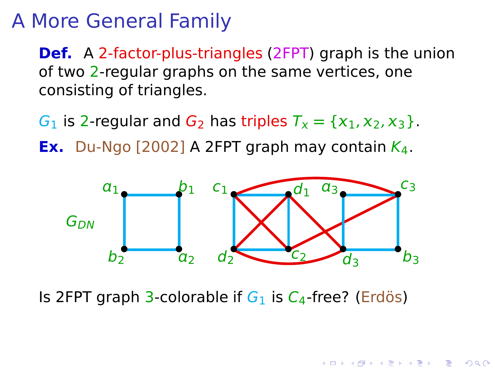**Def.** A 2-factor-plus-triangles (2FPT) graph is the union of two 2-regular graphs on the same vertices, one consisting of triangles.

 $G_1$  is 2-regular and  $G_2$  has triples  $T_x = \{x_1, x_2, x_3\}$ .

**Ex.** Du-Ngo [2002] A 2FPT graph may contain  $K_4$ .



- モーマ 4 ヨ キ モ ≯ マ ヨ ≯ エ ヨー

 $QQ$ 

Is 2FPT graph 3-colorable if  $G_1$  is  $C_4$ -free? (Erdös)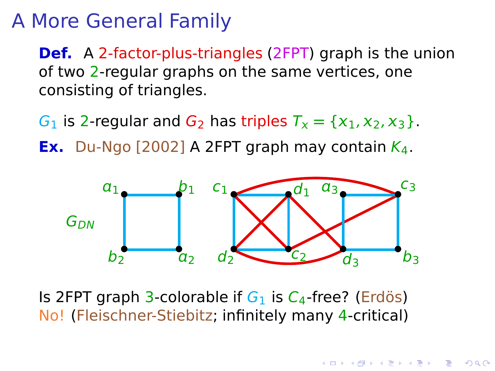**Def.** A 2-factor-plus-triangles (2FPT) graph is the union of two 2-regular graphs on the same vertices, one consisting of triangles.

 $G_1$  is 2-regular and  $G_2$  has triples  $T_x = \{x_1, x_2, x_3\}$ .

**Ex.** Du-Ngo  $[2002]$  A 2FPT graph may contain  $K_4$ .



Is 2FPT graph 3-colorable if  $G_1$  is  $C_4$ -free? (Erdös) No! (Fleischner-Stiebitz; infinitely many 4-critical)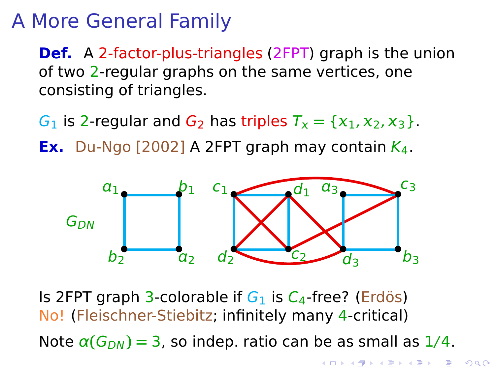**Def.** A 2-factor-plus-triangles (2FPT) graph is the union of two 2-regular graphs on the same vertices, one consisting of triangles.

 $G_1$  is 2-regular and  $G_2$  has triples  $T_x = \{x_1, x_2, x_3\}$ .

**Ex.** Du-Ngo [2002] A 2FPT graph may contain  $K_4$ .



Is 2FPT graph 3-colorable if  $G_1$  is  $C_4$ -free? (Erdös) No! (Fleischner-Stiebitz; infinitely many 4-critical) Note  $\alpha(G_{DN}) = 3$ , so indep. ratio can be as small as  $1/4$ .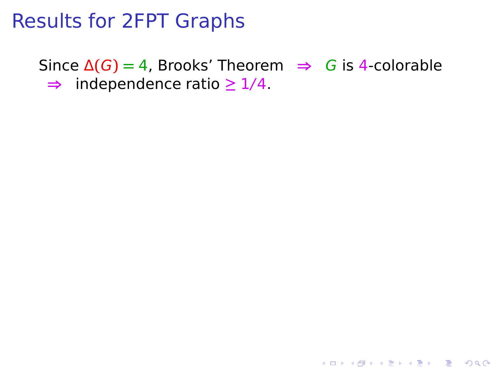Since  $\Delta(G) = 4$ , Brooks' Theorem  $\Rightarrow$  G is 4-colorable **⇒** independence ratio **≥** 1/4.

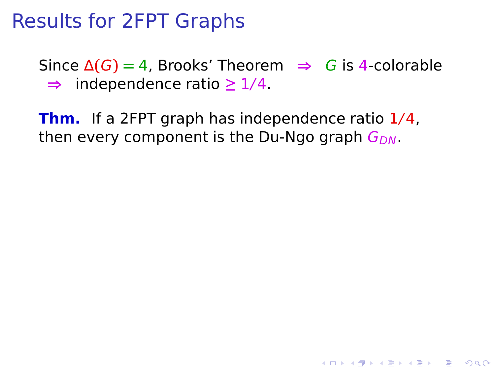Since  $\Delta(G) = 4$ , Brooks' Theorem  $\Rightarrow$  G is 4-colorable **⇒** independence ratio **≥** 1/4.

**KORK ERKERK EI VAN** 

**Thm.** If a 2FPT graph has independence ratio 1/4, then every component is the Du-Ngo graph  $G_{DN}$ .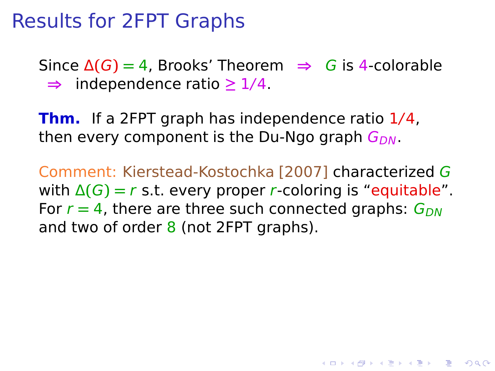Since  $\Delta(G) = 4$ , Brooks' Theorem  $\Rightarrow$  G is 4-colorable **⇒** independence ratio **≥** 1/4.

**Thm.** If a 2FPT graph has independence ratio 1/4, then every component is the Du-Ngo graph  $G_{DN}$ .

Comment: Kierstead-Kostochka [2007] characterized G with  $\Delta(G) = r$  s.t. every proper r-coloring is "equitable". For  $r = 4$ , there are three such connected graphs:  $G_{DN}$ and two of order  $8$  (not 2FPT graphs).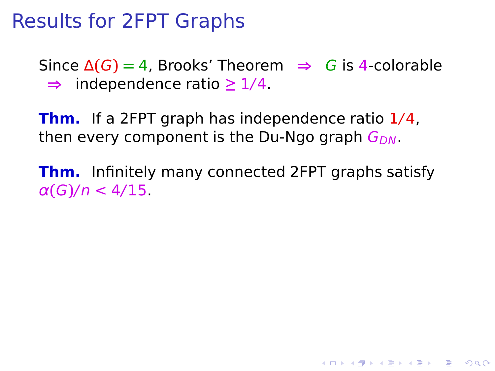Since  $\Delta(G) = 4$ , Brooks' Theorem  $\Rightarrow$  G is 4-colorable **⇒** independence ratio **≥** 1/4.

**Thm.** If a 2FPT graph has independence ratio 1/4, then every component is the Du-Ngo graph  $G_{DN}$ .

**Thm.** Infinitely many connected 2FPT graphs satisfy α**(**G**)**/n < 4/15.

**YO A REPART AND YOUR**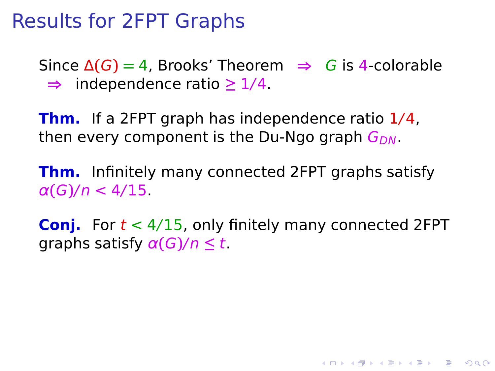Since  $\Delta(G) = 4$ , Brooks' Theorem  $\Rightarrow$  G is 4-colorable **⇒** independence ratio **≥** 1/4.

**Thm.** If a 2FPT graph has independence ratio 1/4, then every component is the Du-Ngo graph  $G_{DN}$ .

**Thm.** Infinitely many connected 2FPT graphs satisfy α**(**G**)**/n < 4/15.

**Conj.** For  $t < 4/15$ , only finitely many connected 2FPT graphs satisfy α**(**G**)**/n **≤** t.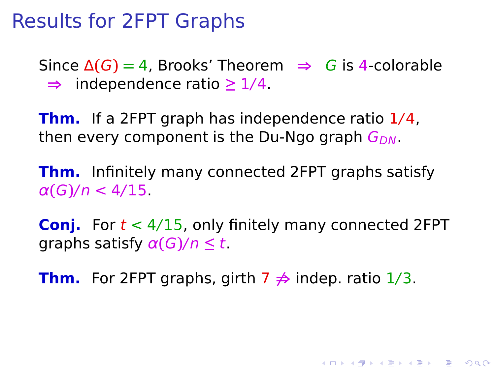Since  $\Delta(G) = 4$ , Brooks' Theorem  $\Rightarrow$  G is 4-colorable **⇒** independence ratio **≥** 1/4.

**Thm.** If a 2FPT graph has independence ratio 1/4, then every component is the Du-Ngo graph  $G_{DN}$ .

**Thm.** Infinitely many connected 2FPT graphs satisfy α**(**G**)**/n < 4/15.

**Conj.** For  $t < 4/15$ , only finitely many connected 2FPT graphs satisfy α**(**G**)**/n **≤** t.

K ロ ▶ K @ ▶ K 할 ▶ K 할 ▶ | 할 | © 9 Q @

**Thm.** For 2FPT graphs, girth 7 **6⇒** indep. ratio 1/3.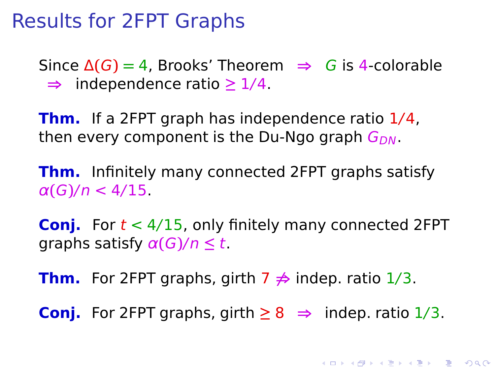Since  $\Delta(G) = 4$ , Brooks' Theorem  $\Rightarrow$  G is 4-colorable **⇒** independence ratio **≥** 1/4.

**Thm.** If a 2FPT graph has independence ratio 1/4, then every component is the Du-Ngo graph  $G_{DN}$ .

**Thm.** Infinitely many connected 2FPT graphs satisfy α**(**G**)**/n < 4/15.

**Conj.** For  $t < 4/15$ , only finitely many connected 2FPT graphs satisfy α**(**G**)**/n **≤** t.

**Thm.** For 2FPT graphs, girth 7 **6⇒** indep. ratio 1/3.

**Conj.** For 2FPT graphs, girth  $\geq 8$  ⇒ indep. ratio  $1/3$ .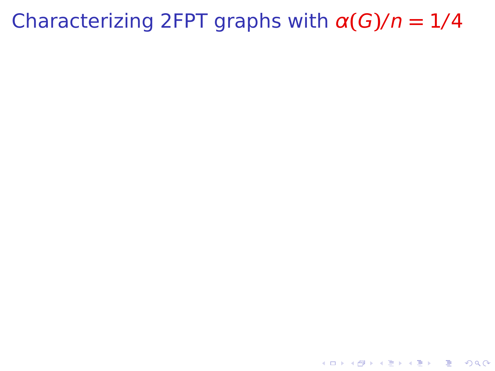## Characterizing 2FPT graphs with  $\alpha(G)/n = 1/4$

K ロ K x 何 K x モ K x モ K → E → D Q Q Q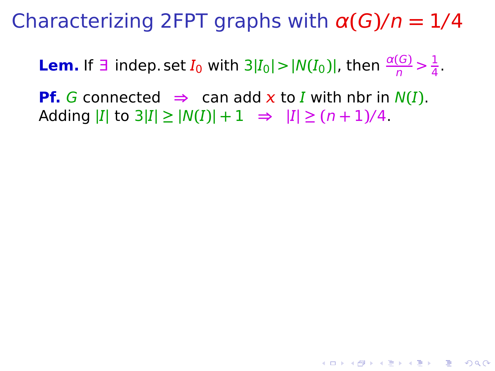Characterizing 2FPT graphs with α**(**G**)**/n **=** 1/4

**Lem.** If  $\exists$  indep. set  $I_0$  with  $3|I_0| > |N(I_0)|$ , then  $\frac{\alpha(G)}{n} > \frac{1}{4}$  $\frac{1}{4}$ .

**Pf.** G connected  $\Rightarrow$  can add **x** to **I** with nbr in  $N(I)$ . Adding  $|I|$  to  $3|I| \ge |N(I)| + 1 \Rightarrow |I| \ge (n+1)/4$ .

**YO A REPART AND YOUR**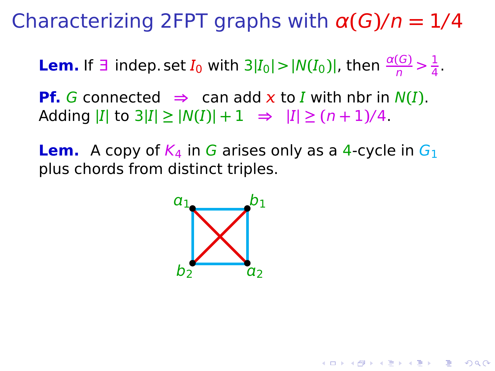Characterizing 2FPT graphs with α**(**G**)**/n **=** 1/4

**Lem.** If  $\exists$  indep. set  $I_0$  with  $3|I_0| > |N(I_0)|$ , then  $\frac{\alpha(G)}{n} > \frac{1}{4}$  $\frac{1}{4}$ .

**Pf.** G connected  $\Rightarrow$  can add **x** to **I** with nbr in  $N(I)$ .  $|I| \to 3|I| \ge |N(I)| + 1 \Rightarrow |I| \ge (n+1)/4$ .

**Lem.** A copy of  $K_4$  in G arises only as a 4-cycle in  $G_1$ plus chords from distinct triples.

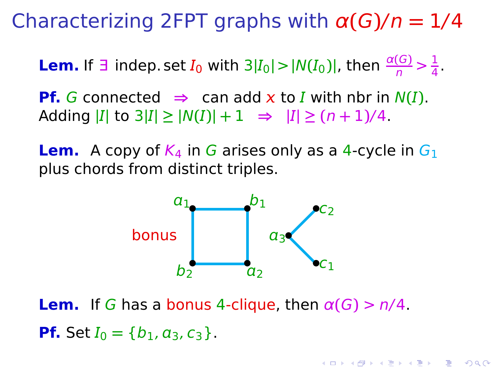Characterizing 2FPT graphs with α**(**G**)**/n **=** 1/4

**Lem.** If  $\exists$  indep. set  $I_0$  with  $3|I_0| > |N(I_0)|$ , then  $\frac{\alpha(G)}{n} > \frac{1}{4}$  $\frac{1}{4}$ .

**Pf.** G connected  $\Rightarrow$  can add **x** to **I** with nbr in  $N(I)$ .  $|I| \to 3|I| \ge |N(I)| + 1 \Rightarrow |I| \ge (n+1)/4$ .

**Lem.** A copy of  $K_4$  in G arises only as a 4-cycle in  $G_1$ plus chords from distinct triples.



**Lem.** If G has a bonus 4-clique, then  $\alpha(G) > n/4$ . **Pf.** Set  $I_0 = \{b_1, a_3, c_3\}$ .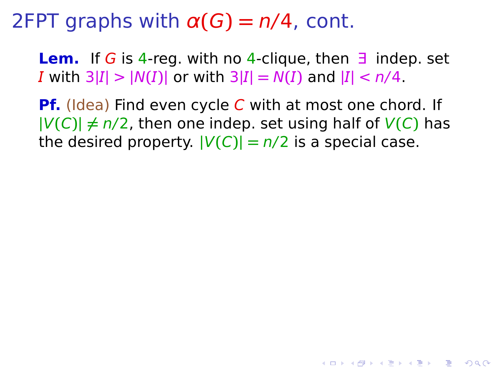**Lem.** If G is 4-reg. with no 4-clique, then ∃ indep. set *I* with  $3|I| > |N(I)|$  or with  $3|I| = N(I)$  and  $|I| < n/4$ .

**Pf.** (Idea) Find even cycle C with at most one chord. If  $|V(C)| \neq n/2$ , then one indep. set using half of  $V(C)$  has the desired property.  $|V(C)| = n/2$  is a special case.

**YO A REPART AND YOUR**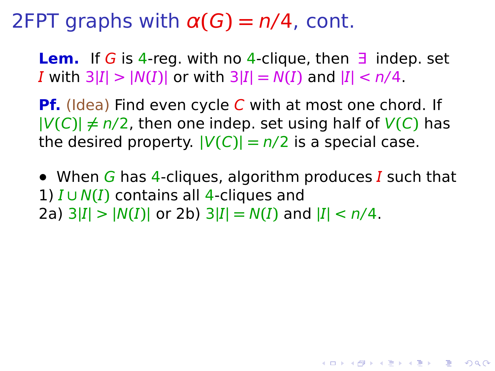**Lem.** If G is 4-reg. with no 4-clique, then ∃ indep. set *I* with  $3|I| > |N(I)|$  or with  $3|I| = N(I)$  and  $|I| < n/4$ .

**Pf.** (Idea) Find even cycle C with at most one chord. If  $|V(C)| \neq n/2$ , then one indep. set using half of  $V(C)$  has the desired property.  $|V(C)| = n/2$  is a special case.

• When G has 4-cliques, algorithm produces I such that 1) **∪** N**()** contains all 4-cliques and 2a)  $3|I| > |N(I)|$  or 2b)  $3|I| = N(I)$  and  $|I| < n/4$ .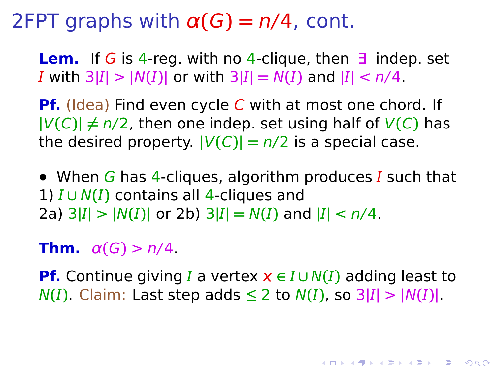**Lem.** If G is 4-reg. with no 4-clique, then ∃ indep. set *I* with  $3|I| > |N(I)|$  or with  $3|I| = N(I)$  and  $|I| < n/4$ .

**Pf.** (Idea) Find even cycle C with at most one chord. If  $|V(C)| \neq n/2$ , then one indep. set using half of  $V(C)$  has the desired property.  $|V(C)| = n/2$  is a special case.

• When G has 4-cliques, algorithm produces I such that 1) **∪** N**()** contains all 4-cliques and 2a)  $3|I| > |N(I)|$  or 2b)  $3|I| = N(I)$  and  $|I| < n/4$ .

**Thm.**  $\alpha(G) > n/4$ .

**Pf.** Continue giving I a vertex  $x \in I \cup N(I)$  adding least to  $N(I)$ . Claim: Last step adds  $\leq 2$  to  $N(I)$ , so  $3|I| > |N(I)|$ .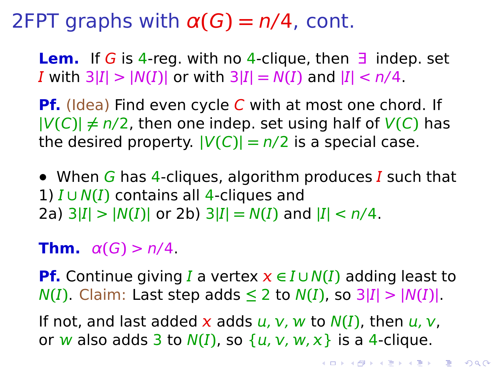**Lem.** If G is 4-reg. with no 4-clique, then ∃ indep. set *I* with  $3|I| > |N(I)|$  or with  $3|I| = N(I)$  and  $|I| < n/4$ .

**Pf.** (Idea) Find even cycle C with at most one chord. If  $|V(C)| \neq n/2$ , then one indep. set using half of  $V(C)$  has the desired property.  $|V(C)| = n/2$  is a special case.

• When G has 4-cliques, algorithm produces I such that 1) **∪** N**()** contains all 4-cliques and 2a)  $3|I| > |N(I)|$  or 2b)  $3|I| = N(I)$  and  $|I| < n/4$ .

#### **Thm.**  $\alpha(G) > n/4$ .

**Pf.** Continue giving I a vertex  $x \in I \cup N(I)$  adding least to  $N(I)$ . Claim: Last step adds  $\leq 2$  to  $N(I)$ , so  $3|I| > |N(I)|$ .

If not, and last added x adds  $u$ ,  $v$ , w to  $N(I)$ , then  $u$ ,  $v$ , or w also adds  $3$  to  $N(I)$ , so  $\{u, v, w, x\}$  is a 4-clique.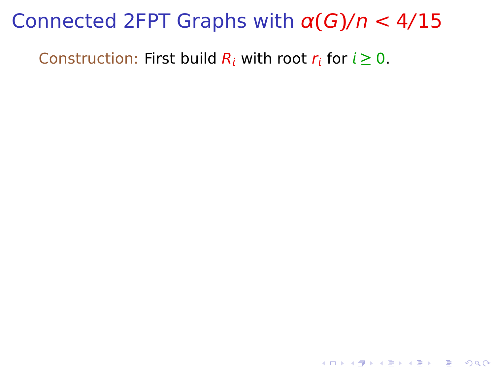K ロ ▶ K @ ▶ K 할 ▶ K 할 ▶ 이 할 → 9 Q Q →

Construction: First build  $R_i$  with root  $r_i$  for  $i \geq 0$ .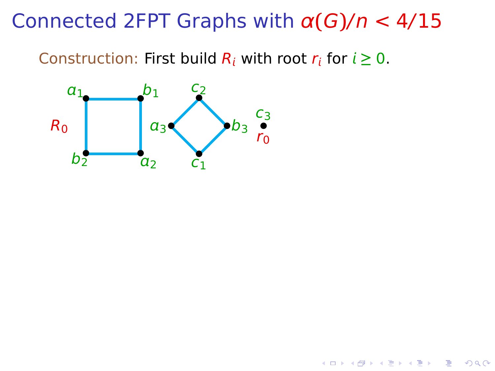**K ロ ▶ K 何 ▶ K ヨ ▶ K ヨ ▶** 

 $299$ 

÷.

Construction: First build  $R_i$  with root  $r_i$  for  $i \geq 0$ .

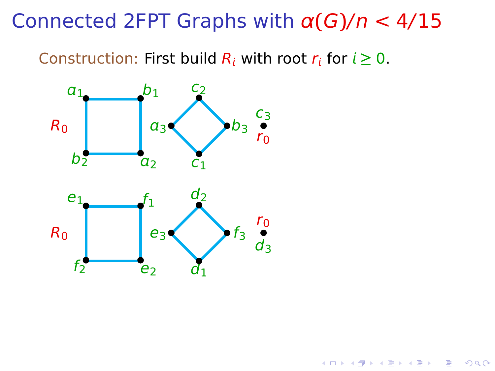Construction: First build  $R_i$  with root  $r_i$  for  $i \geq 0$ .

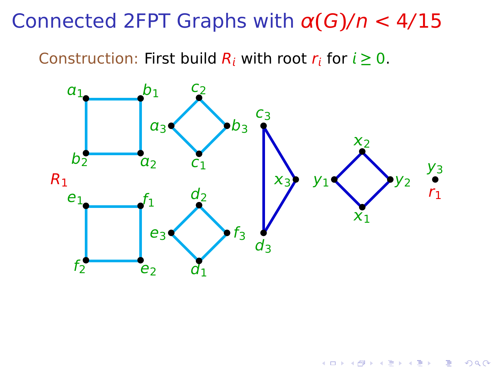Construction: First build  $R_i$  with root  $r_i$  for  $i \geq 0$ .



 $290$ 

メロトメ 伊 トメ ミトメ ミト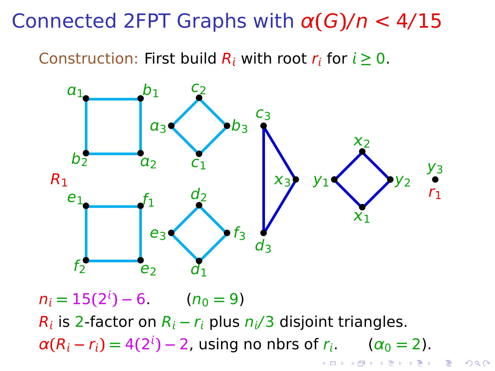Construction: First build  $R_i$  with root  $r_i$  for  $i \ge 0$ .



 $n_i = 15(2^i) - 6$  ( $n_0 = 9$ )  $R_i$  is 2-factor on  $R_i - r_i$  plus  $n_i/3$  disjoint triangles.  $\alpha(R_i - r_i) = 4(2^i) - 2$ , using no nbrs of  $r_i$ . ( $\alpha_0 = 2$ ). イロメ イ押メ イヨメ イヨメ

 $QQ$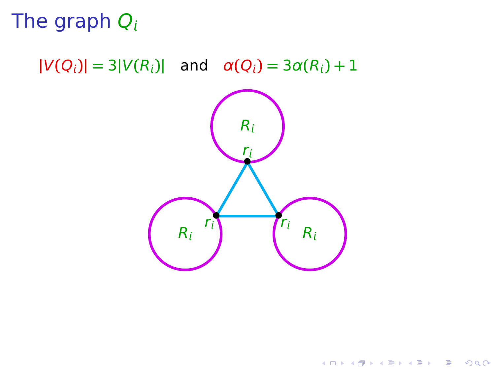# The graph  $Q_i$

 $|V(Q_i)| = 3|V(R_i)|$  and  $\alpha(Q_i) = 3\alpha(R_i) + 1$ 



K ロ ▶ K @ ▶ K 콜 ▶ K 콜 ▶ 『 콜 │ ⊙ Q Q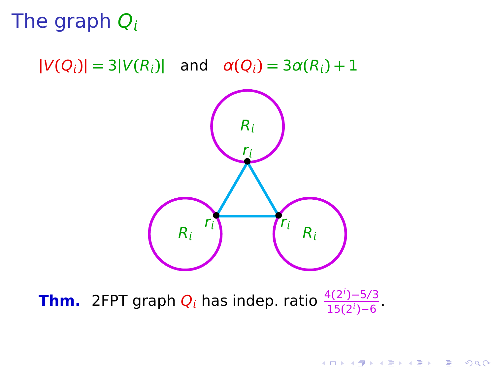# The graph  $Q_i$

 $|V(Q_i)| = 3|V(R_i)|$  and  $\alpha(Q_i) = 3\alpha(R_i) + 1$ 



K ロ ▶ K @ ▶ K 콜 ▶ K 콜 ▶ 『 콜 │ ⊙ Q Q

<span id="page-32-0"></span>**Thm.** 2FPT graph  $Q_i$  has indep. ratio  $\frac{4(2^{i})-5/3}{15(2^{i})-6}$ <del>1</del>5(2<sup>*i*</sup>)−6</sub>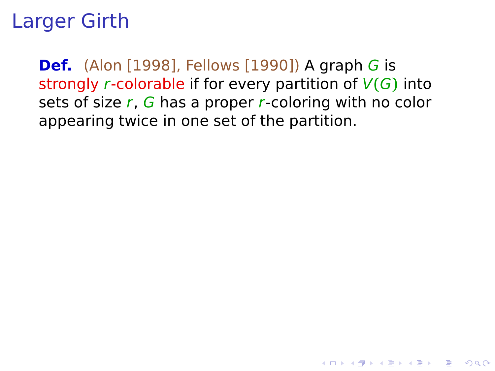<span id="page-33-0"></span>**Def.** (Alon [1998], Fellows [1990]) A graph G is strongly r-colorable if for every partition of V**(**G**)** into sets of size  $r$ ,  $G$  has a proper  $r$ -coloring with no color appearing twice in one set of the partition.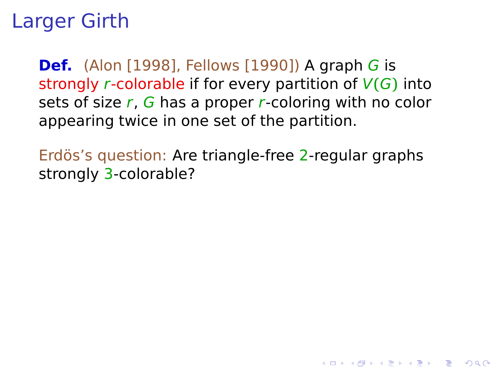**Def.** (Alon [1998], Fellows [1990]) A graph G is strongly r-colorable if for every partition of V**(**G**)** into sets of size  $r$ ,  $G$  has a proper  $r$ -coloring with no color appearing twice in one set of the partition.

Erdös's question: Are triangle-free 2-regular graphs strongly 3-colorable?

**YO A REPART AND YOUR**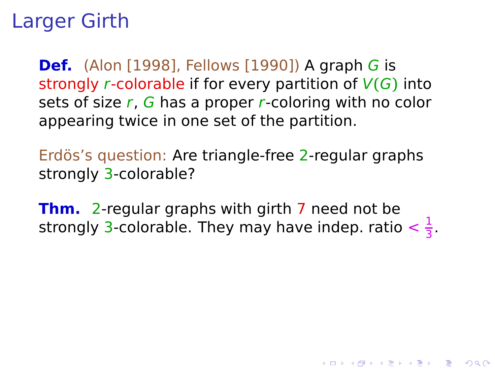**Def.** (Alon [1998], Fellows [1990]) A graph G is strongly r-colorable if for every partition of V**(**G**)** into sets of size  $r$ ,  $G$  has a proper  $r$ -coloring with no color appearing twice in one set of the partition.

Erdös's question: Are triangle-free 2-regular graphs strongly 3-colorable?

**Thm.** 2-regular graphs with girth 7 need not be strongly 3-colorable. They may have indep. ratio  $\frac{1}{3}$  $\frac{1}{3}$ .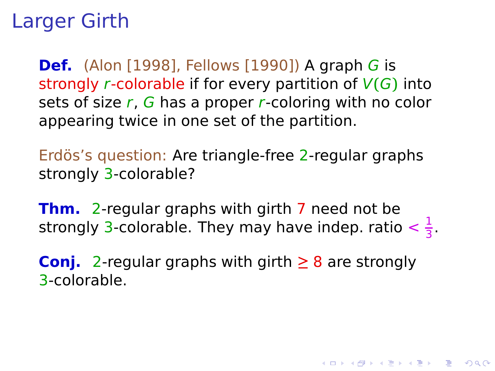**Def.** (Alon [1998], Fellows [1990]) A graph G is strongly r-colorable if for every partition of V**(**G**)** into sets of size  $r$ ,  $G$  has a proper  $r$ -coloring with no color appearing twice in one set of the partition.

Erdös's question: Are triangle-free 2-regular graphs strongly 3-colorable?

**Thm.** 2-regular graphs with girth 7 need not be strongly 3-colorable. They may have indep. ratio  $\frac{1}{3}$  $\frac{1}{3}$ .

<span id="page-36-0"></span>**Conj.** 2-regular graphs with girth **≥** 8 are strongly 3-colorable.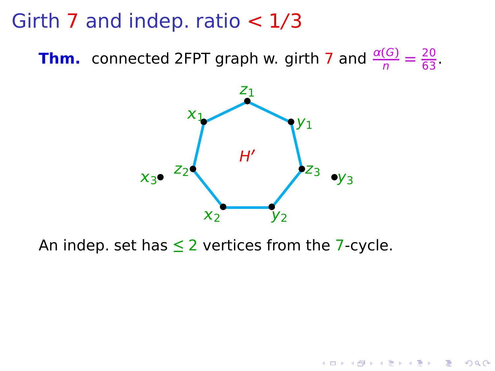Girth 7 and indep. ratio  $< 1/3$ 

**Thm.** connected 2FPT graph w. girth 7 and  $\frac{\alpha(G)}{n} = \frac{20}{63}$ .



K ロ ▶ K @ ▶ K 할 ▶ K 할 ▶ (할 수 있어 안

<span id="page-37-0"></span>An indep. set has **≤** 2 vertices from the 7-cycle.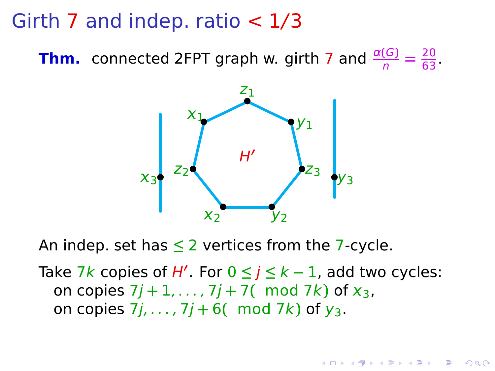#### Girth 7 and indep. ratio  $<$  1/3

**Thm.** connected 2FPT graph w. girth 7 and  $\frac{\alpha(G)}{n} = \frac{20}{63}$ .



An indep. set has **≤** 2 vertices from the 7-cycle.

<span id="page-38-0"></span>Take 7k copies of H**′** . For 0 **≤** j **≤** k **−** 1, add two cycles: on copies  $7j + 1, ..., 7j + 7$  mod  $7k$  of  $x_3$ , on copies  $7j$ , ...,  $7j + 6$  mod  $7k$ ) of  $y_3$ .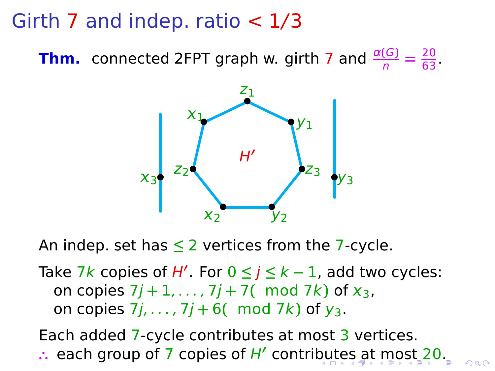#### Girth 7 and indep. ratio  $<$  1/3

**Thm.** connected 2FPT graph w. girth 7 and  $\frac{\alpha(G)}{n} = \frac{20}{63}$ .



An indep. set has **≤** 2 vertices from the 7-cycle.

Take 7k copies of H**′** . For 0 **≤** j **≤** k **−** 1, add two cycles: on copies  $7j + 1, ..., 7j + 7$  mod  $7k$  of  $x_3$ , on copies  $7j$ , ...,  $7j + 6$  (mod  $7k$ ) of  $y_3$ .

<span id="page-39-0"></span>Each added 7-cycle contributes at most 3 vertices. **∴** each group of 7 copies of H**′** contri[bu](#page-38-0)[te](#page-40-0)[s](#page-36-0) [a](#page-39-0)[t](#page-40-0) [m](#page-33-0)[o](#page-40-0)[s](#page-32-0)[t](#page-33-0) [2](#page-40-0)[0](#page-0-0)[.](#page-44-0)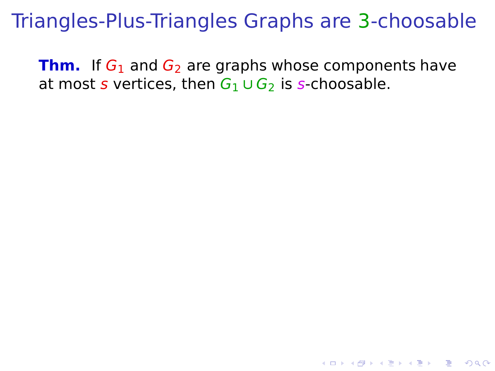<span id="page-40-0"></span>**Thm.** If  $G_1$  and  $G_2$  are graphs whose components have at most s vertices, then  $G_1 \cup G_2$  is s-choosable.

**YO A REPART AND YOUR**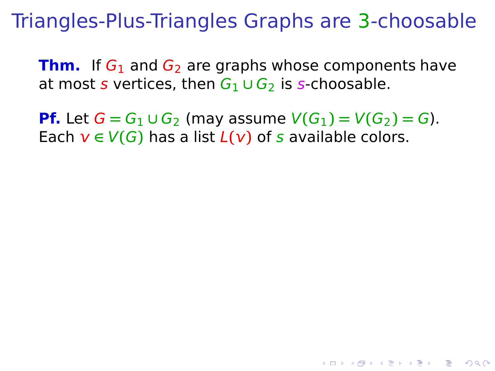**Thm.** If  $G_1$  and  $G_2$  are graphs whose components have at most s vertices, then  $G_1 \cup G_2$  is s-choosable.

**Pf.** Let  $G = G_1 ∪ G_2$  (may assume  $V(G_1) = V(G_2) = G$ ). Each  $v \in V(G)$  has a list  $L(v)$  of s available colors.

**YO A REPART AND YOUR**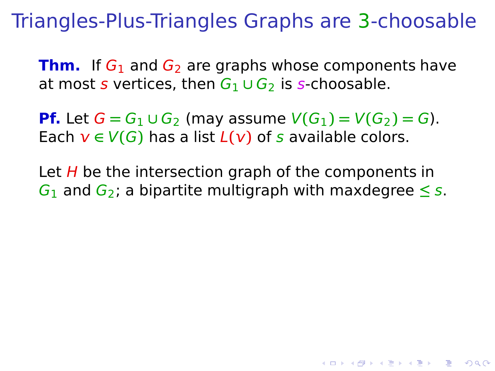**Thm.** If  $G_1$  and  $G_2$  are graphs whose components have at most s vertices, then  $G_1 \cup G_2$  is s-choosable.

**Pf.** Let  $G = G_1 ∪ G_2$  (may assume  $V(G_1) = V(G_2) = G$ ). Each  $v \in V(G)$  has a list  $L(v)$  of s available colors.

Let  $H$  be the intersection graph of the components in  $G_1$  and  $G_2$ ; a bipartite multigraph with maxdegree  $\leq s$ .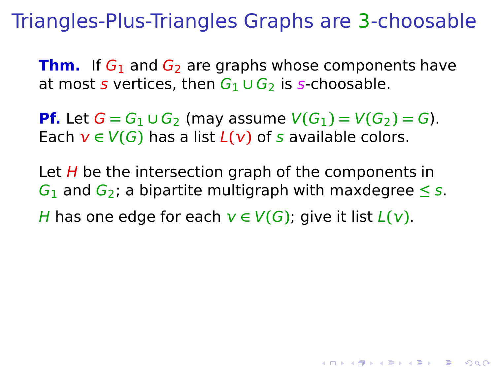**Thm.** If  $G_1$  and  $G_2$  are graphs whose components have at most s vertices, then  $G_1 \cup G_2$  is s-choosable.

**Pf.** Let  $G = G_1 ∪ G_2$  (may assume  $V(G_1) = V(G_2) = G$ ). Each  $v \in V(G)$  has a list  $L(v)$  of s available colors.

Let  $H$  be the intersection graph of the components in  $G_1$  and  $G_2$ ; a bipartite multigraph with maxdegree  $\leq s$ . H has one edge for each  $v \in V(G)$ ; give it list  $L(v)$ .